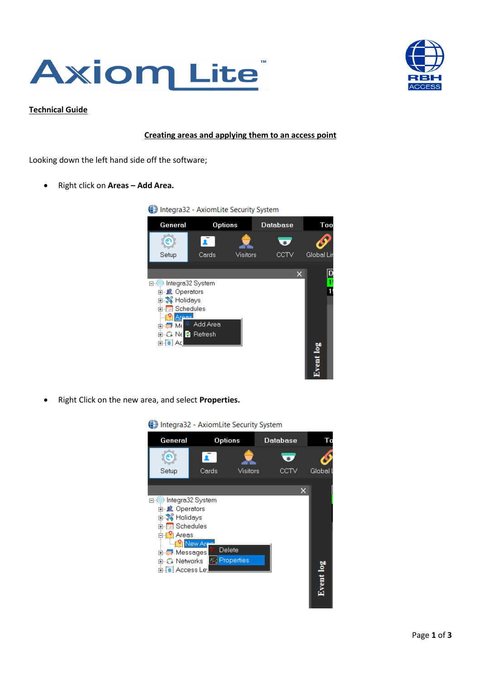



## **Technical Guide**

## **Creating areas and applying them to an access point**

Looking down the left hand side off the software;

- Right click on **Areas – Add Area.**
	- Integra32 AxiomLite Security System General Options Database **Too** Ø  $\bullet$ Æ  $\overline{\mathbf{v}}$ Cards Visitors **CCTV** Global Lir Setup  $\boxed{\mathsf{D}}$  $\mathsf{x}$ ī. 日 (iii) Integra32 System 中**单 Operators** П **中心 Holidays** E-**E**<br>Area<br>E-E M<sub>-</sub> Add <sup>o</sup> Add Area **E-C** Ne **2** Refresh ∄-[o] Ad Event log
- Right Click on the new area, and select **Properties.**



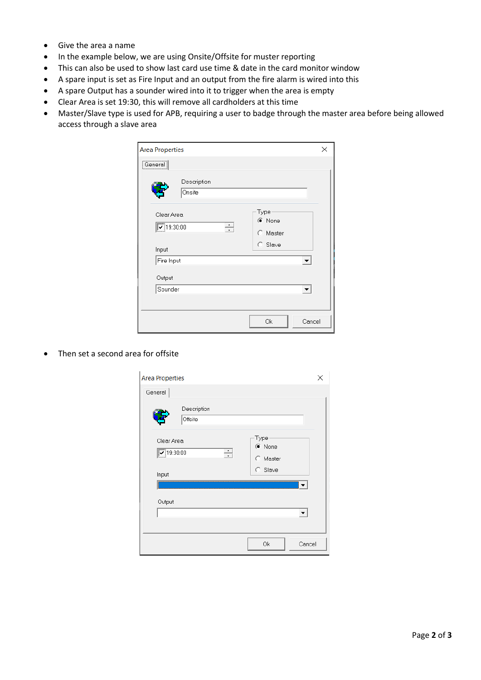- Give the area a name
- In the example below, we are using Onsite/Offsite for muster reporting
- This can also be used to show last card use time & date in the card monitor window
- A spare input is set as Fire Input and an output from the fire alarm is wired into this
- A spare Output has a sounder wired into it to trigger when the area is empty
- Clear Area is set 19:30, this will remove all cardholders at this time
- Master/Slave type is used for APB, requiring a user to badge through the master area before being allowed access through a slave area

| <b>Area Properties</b>                                        |                       |  |                                       |        |  |
|---------------------------------------------------------------|-----------------------|--|---------------------------------------|--------|--|
| ,<br>General                                                  |                       |  |                                       |        |  |
|                                                               | Description<br>Onsite |  |                                       |        |  |
| Clear Area<br>$\boxed{\triangleright}$ 19:30:00<br>÷<br>Input |                       |  | Type<br>C None<br>C Master<br>C Slave |        |  |
| Fire Input                                                    |                       |  |                                       |        |  |
| Output                                                        |                       |  |                                       |        |  |
| Sounder                                                       |                       |  |                                       |        |  |
|                                                               |                       |  | 0k                                    | Cancel |  |

• Then set a second area for offsite

| <b>Area Properties</b>                                             |                                       |        |  |  |
|--------------------------------------------------------------------|---------------------------------------|--------|--|--|
| General<br>Description<br>Offsite                                  |                                       |        |  |  |
| Clear Area<br>$\boxed{\triangledown}$ 19:30:00<br>$\cdot$<br>Input | Type<br>C None<br>C Master<br>C Slave |        |  |  |
| Output                                                             |                                       |        |  |  |
|                                                                    | 0k                                    | Cancel |  |  |